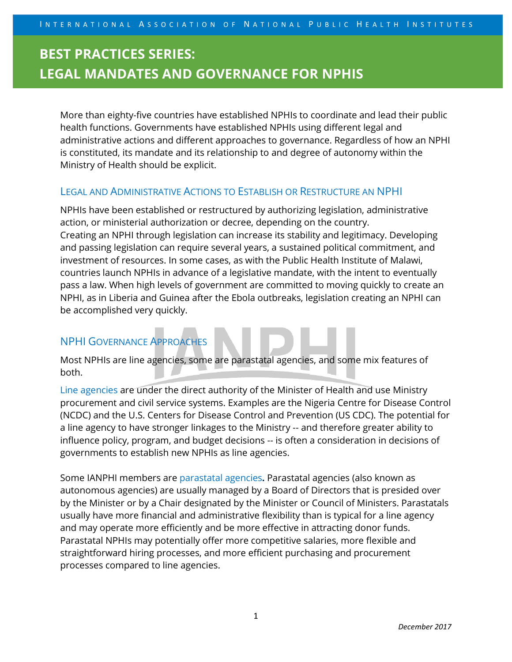More than eighty-five countries have established NPHIs to coordinate and lead their public health functions. Governments have established NPHIs using different legal and administrative actions and different approaches to governance. Regardless of how an NPHI is constituted, its mandate and its relationship to and degree of autonomy within the Ministry of Health should be explicit.

#### LEGAL AND ADMINISTRATIVE ACTIONS TO ESTABLISH OR RESTRUCTURE AN NPHI

NPHIs have been established or restructured by authorizing legislation, administrative action, or ministerial authorization or decree, depending on the country. Creating an NPHI through legislation can increase its stability and legitimacy. Developing and passing legislation can require several years, a sustained political commitment, and investment of resources. In some cases, as with the Public Health Institute of Malawi, countries launch NPHIs in advance of a legislative mandate, with the intent to eventually pass a law. When high levels of government are committed to moving quickly to create an NPHI, as in Liberia and Guinea after the Ebola outbreaks, legislation creating an NPHI can be accomplished very quickly.

### NPHI GOVERNANCE APPROACHES

Most NPHIs are line agencies, some are parastatal agencies, and some mix features of both.

Line agencies are under the direct authority of the Minister of Health and use Ministry procurement and civil service systems. Examples are the Nigeria Centre for Disease Control (NCDC) and the U.S. Centers for Disease Control and Prevention (US CDC). The potential for a line agency to have stronger linkages to the Ministry -- and therefore greater ability to influence policy, program, and budget decisions -- is often a consideration in decisions of governments to establish new NPHIs as line agencies.

Some IANPHI members are parastatal agencies**.** Parastatal agencies (also known as autonomous agencies) are usually managed by a Board of Directors that is presided over by the Minister or by a Chair designated by the Minister or Council of Ministers. Parastatals usually have more financial and administrative flexibility than is typical for a line agency and may operate more efficiently and be more effective in attracting donor funds. Parastatal NPHIs may potentially offer more competitive salaries, more flexible and straightforward hiring processes, and more efficient purchasing and procurement processes compared to line agencies.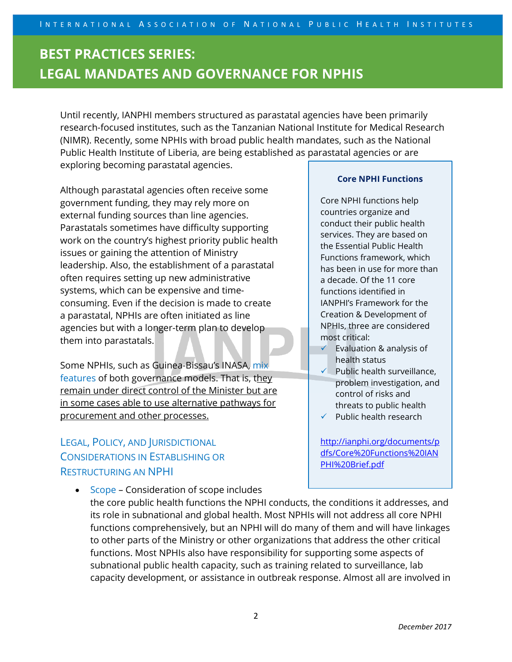Until recently, IANPHI members structured as parastatal agencies have been primarily research-focused institutes, such as the Tanzanian National Institute for Medical Research (NIMR). Recently, some NPHIs with broad public health mandates, such as the National Public Health Institute of Liberia, are being established as parastatal agencies or are exploring becoming parastatal agencies.

Although parastatal agencies often receive some government funding, they may rely more on external funding sources than line agencies. Parastatals sometimes have difficulty supporting work on the country's highest priority public health issues or gaining the attention of Ministry leadership. Also, the establishment of a parastatal often requires setting up new administrative systems, which can be expensive and timeconsuming. Even if the decision is made to create a parastatal, NPHIs are often initiated as line agencies but with a longer-term plan to develop them into parastatals.

Some NPHIs, such as Guinea-Bissau's INASA, mix features of both governance models. That is, they remain under direct control of the Minister but are in some cases able to use alternative pathways for procurement and other processes.

### LEGAL, POLICY, AND JURISDICTIONAL CONSIDERATIONS IN ESTABLISHING OR RESTRUCTURING AN NPHI

• Scope – Consideration of scope includes

#### **Core NPHI Functions**

Core NPHI functions help countries organize and conduct their public health services. They are based on the Essential Public Health Functions framework, which has been in use for more than a decade. Of the 11 core functions identified in IANPHI's Framework for the Creation & Development of NPHIs, three are considered most critical:

- $\checkmark$  Evaluation & analysis of health status
- $\checkmark$  Public health surveillance, problem investigation, and control of risks and threats to public health
- $\checkmark$  Public health research

[http://ianphi.org/documents/p](http://ianphi.org/documents/pdfs/Core%20Functions%20IANPHI%20Brief.pdf) [dfs/Core%20Functions%20IAN](http://ianphi.org/documents/pdfs/Core%20Functions%20IANPHI%20Brief.pdf) [PHI%20Brief.pdf](http://ianphi.org/documents/pdfs/Core%20Functions%20IANPHI%20Brief.pdf)

the core public health functions the NPHI conducts, the conditions it addresses, and its role in subnational and global health. Most NPHIs will not address all core NPHI functions comprehensively, but an NPHI will do many of them and will have linkages to other parts of the Ministry or other organizations that address the other critical functions. Most NPHIs also have responsibility for supporting some aspects of subnational public health capacity, such as training related to surveillance, lab capacity development, or assistance in outbreak response. Almost all are involved in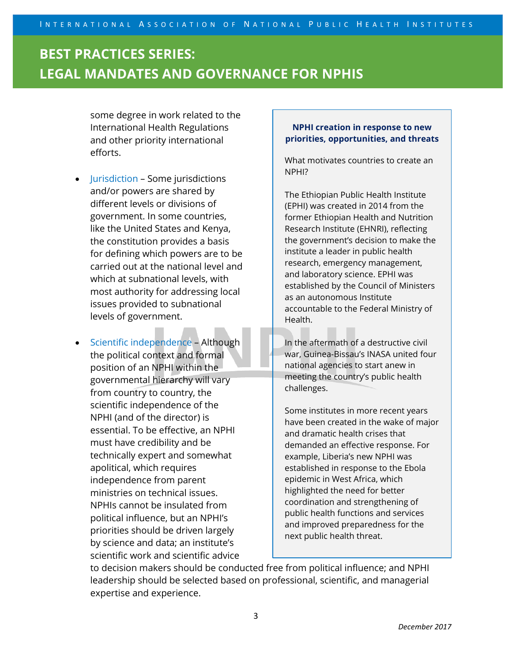some degree in work related to the International Health Regulations and other priority international efforts.

- Jurisdiction Some jurisdictions and/or powers are shared by different levels or divisions of government. In some countries, like the United States and Kenya, the constitution provides a basis for defining which powers are to be carried out at the national level and which at subnational levels, with most authority for addressing local issues provided to subnational levels of government.
- Scientific independence Although the political context and formal position of an NPHI within the governmental hierarchy will vary from country to country, the scientific independence of the NPHI (and of the director) is essential. To be effective, an NPHI must have credibility and be technically expert and somewhat apolitical, which requires independence from parent ministries on technical issues. NPHIs cannot be insulated from political influence, but an NPHI's priorities should be driven largely by science and data; an institute's scientific work and scientific advice

#### **NPHI creation in response to new priorities, opportunities, and threats**

What motivates countries to create an NPHI?

The Ethiopian Public Health Institute (EPHI) was created in 2014 from the former Ethiopian Health and Nutrition Research Institute (EHNRI), reflecting the government's decision to make the institute a leader in public health research, emergency management, and laboratory science. EPHI was established by the Council of Ministers as an autonomous Institute accountable to the Federal Ministry of Health.

In the aftermath of a destructive civil war, Guinea-Bissau's INASA united four national agencies to start anew in meeting the country's public health challenges.

Some institutes in more recent years have been created in the wake of major and dramatic health crises that demanded an effective response. For example, Liberia's new NPHI was established in response to the Ebola epidemic in West Africa, which highlighted the need for better coordination and strengthening of public health functions and services and improved preparedness for the next public health threat.

to decision makers should be conducted free from political influence; and NPHI leadership should be selected based on professional, scientific, and managerial expertise and experience.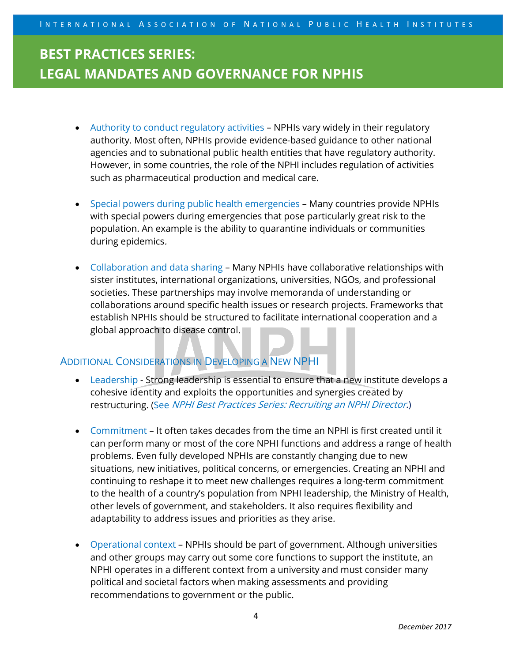- Authority to conduct regulatory activities NPHIs vary widely in their regulatory authority. Most often, NPHIs provide evidence-based guidance to other national agencies and to subnational public health entities that have regulatory authority. However, in some countries, the role of the NPHI includes regulation of activities such as pharmaceutical production and medical care.
- Special powers during public health emergencies Many countries provide NPHIs with special powers during emergencies that pose particularly great risk to the population. An example is the ability to quarantine individuals or communities during epidemics.
- Collaboration and data sharing Many NPHIs have collaborative relationships with sister institutes, international organizations, universities, NGOs, and professional societies. These partnerships may involve memoranda of understanding or collaborations around specific health issues or research projects. Frameworks that establish NPHIs should be structured to facilitate international cooperation and a global approach to disease control.

### ADDITIONAL CONSIDERATIONS IN DEVELOPING A NEW NPHI

- Leadership Strong leadership is essential to ensure that a new institute develops a cohesive identity and exploits the opportunities and synergies created by restructuring. (See NPHI Best Practices Series: Recruiting an NPHI Director.)
- Commitment It often takes decades from the time an NPHI is first created until it can perform many or most of the core NPHI functions and address a range of health problems. Even fully developed NPHIs are constantly changing due to new situations, new initiatives, political concerns, or emergencies. Creating an NPHI and continuing to reshape it to meet new challenges requires a long-term commitment to the health of a country's population from NPHI leadership, the Ministry of Health, other levels of government, and stakeholders. It also requires flexibility and adaptability to address issues and priorities as they arise.
- Operational context NPHIs should be part of government. Although universities and other groups may carry out some core functions to support the institute, an NPHI operates in a different context from a university and must consider many political and societal factors when making assessments and providing recommendations to government or the public.